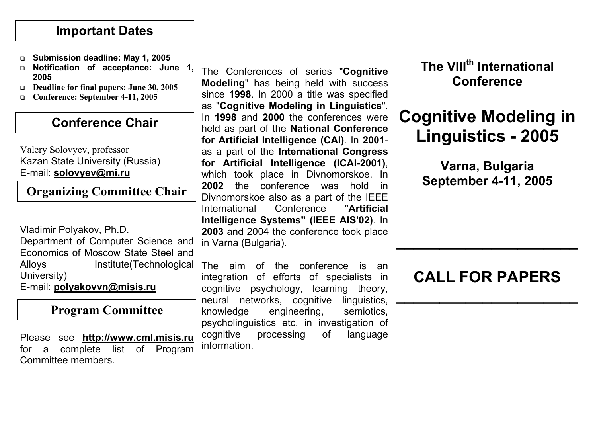#### **Important Dates**

- **Submission deadline: May 1, 2005**
- **Notification of acceptance: June 1, 2005**
- **Deadline for final papers: June 30, 2005**
- **Conference: September 4-11, 2005**

#### **Conference Chair**

#### Valery Solovyev, professor Kazan State University (Russia) E-mail: **solovyev@mi.ru**

**Organizing Committee Chair**

Vladimir Polyakov, Ph.D. Department of Computer Science and Economics of Moscow State Steel and University) E-mail: **polyakovvn@misis.ru**

#### **Program Committee**

Please see **http://www.cml.misis.ru** for a complete list of Program Committee members.

The Conferences of series "**Cognitive Modeling**" has being held with success since **1998**. In 2000 a title was specified as "**Cognitive Modeling in Linguistics**". In **1998** and **2000** the conferences were held as part of the **National Conference for Artificial Intelligence (CAI)**. In **2001** as a part of the **International Congress for Artificial Intelligence (ICAI-2001)**, which took place in Divnomorskoe. In **2002** the conference was hold in Divnomorskoe also as a part of the IEEE International Conference "**Artificial Intelligence Systems" (IEEE AIS'02)**. In **2003** and 2004 the conference took place in Varna (Bulgaria).

Alloys Institute(Technological The aim of the conference is an integration of efforts of specialists in cognitive psychology, learning theory, neural networks, cognitive linguistics, knowledge engineering, semiotics, psycholinguistics etc. in investigation of cognitive processing of language information.

## **The VIIIth International Conference**

# **Cognitive Modeling in Linguistics - 2005**

**Varna, Bulgaria September 4-11, 2005**

# **CALL FOR PAPERS**

**\_\_\_\_\_\_\_\_\_\_\_\_\_\_\_\_\_\_\_\_\_**

**\_\_\_\_\_\_\_\_\_\_\_\_\_\_\_\_\_\_\_\_\_**